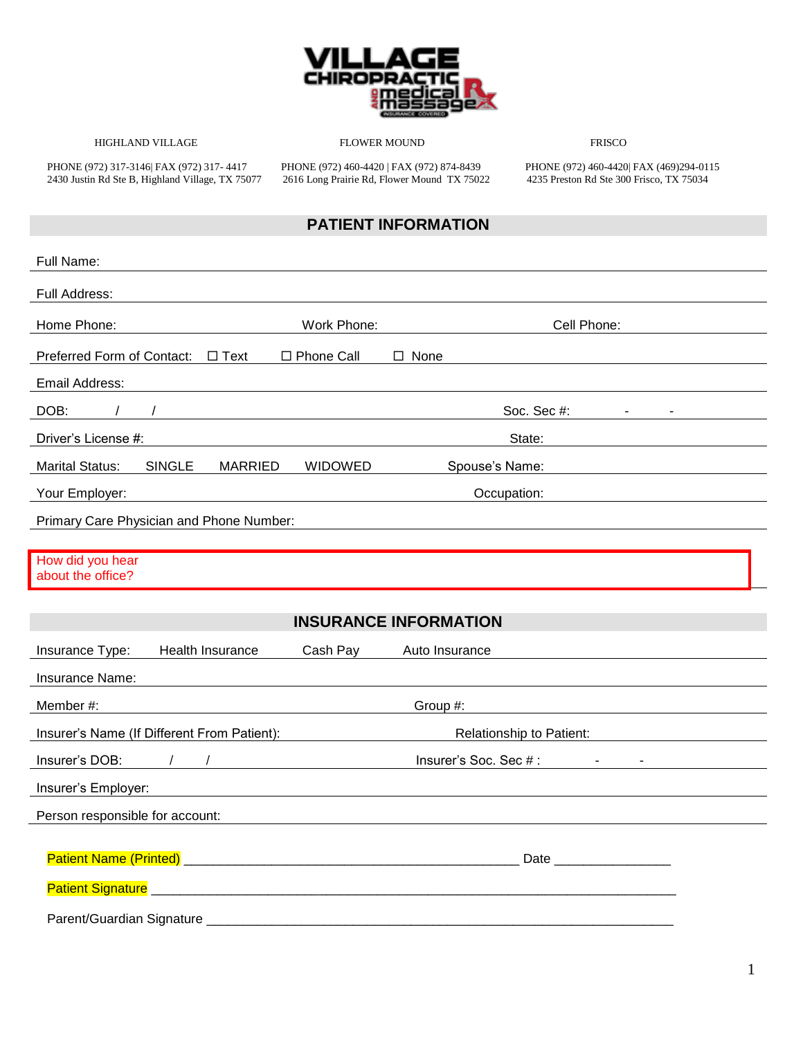

HIGHLAND VILLAGE FLOWER MOUND FRISCO

2430 Justin Rd Ste B, Highland Village, TX 75077 2616 Long Prairie Rd, Flower Mound TX 75022 4235 Preston Rd Ste 300 Frisco, TX 75034

PHONE (972) 317-3146| FAX (972) 317- 4417 PHONE (972) 460-4420 | FAX (972) 874-8439 PHONE (972) 460-4420| FAX (469)294-0115

### **PATIENT INFORMATION**

| Full Name:                                                                                                                                                                                                                     |              |                                                                                                                                                                                                                                |  |  |
|--------------------------------------------------------------------------------------------------------------------------------------------------------------------------------------------------------------------------------|--------------|--------------------------------------------------------------------------------------------------------------------------------------------------------------------------------------------------------------------------------|--|--|
| Full Address:                                                                                                                                                                                                                  |              |                                                                                                                                                                                                                                |  |  |
| Home Phone:                                                                                                                                                                                                                    | Work Phone:  | Cell Phone:                                                                                                                                                                                                                    |  |  |
| Preferred Form of Contact: □ Text                                                                                                                                                                                              | □ Phone Call | $\Box$ None                                                                                                                                                                                                                    |  |  |
| Email Address:                                                                                                                                                                                                                 |              |                                                                                                                                                                                                                                |  |  |
| DOB:                                                                                                                                                                                                                           |              | Soc. Sec $#$ : $  -$                                                                                                                                                                                                           |  |  |
| Driver's License #:                                                                                                                                                                                                            |              | State:                                                                                                                                                                                                                         |  |  |
| SINGLE<br><b>Marital Status:</b><br><b>MARRIED</b>                                                                                                                                                                             | WIDOWED      | Spouse's Name:                                                                                                                                                                                                                 |  |  |
| Your Employer:                                                                                                                                                                                                                 |              | Occupation: experience of the state of the state of the state of the state of the state of the state of the state of the state of the state of the state of the state of the state of the state of the state of the state of t |  |  |
| Primary Care Physician and Phone Number:                                                                                                                                                                                       |              |                                                                                                                                                                                                                                |  |  |
| How did you hear<br>about the office?                                                                                                                                                                                          |              |                                                                                                                                                                                                                                |  |  |
| <b>INSURANCE INFORMATION</b>                                                                                                                                                                                                   |              |                                                                                                                                                                                                                                |  |  |
|                                                                                                                                                                                                                                |              |                                                                                                                                                                                                                                |  |  |
| Health Insurance<br>Insurance Type:                                                                                                                                                                                            | Cash Pay     | Auto Insurance                                                                                                                                                                                                                 |  |  |
| Insurance Name:                                                                                                                                                                                                                |              |                                                                                                                                                                                                                                |  |  |
| Member #:                                                                                                                                                                                                                      |              | Group #:                                                                                                                                                                                                                       |  |  |
| Insurer's Name (If Different From Patient):                                                                                                                                                                                    |              | Relationship to Patient:                                                                                                                                                                                                       |  |  |
| Insurer's DOB: A Contract of the Contract of the Contract of the Contract of the Contract of the Contract of the Contract of the Contract of the Contract of the Contract of the Contract of the Contract of the Contract of t |              | Insurer's Soc. Sec # : The Contract of the Contract of the Contract of the Contract of the Contract of the Contract of the Contract of the Contract of the Contract of the Contract of the Contract of the Contract of the Con |  |  |
| Insurer's Employer: www.astronometer.com/                                                                                                                                                                                      |              |                                                                                                                                                                                                                                |  |  |
| Person responsible for account:                                                                                                                                                                                                |              |                                                                                                                                                                                                                                |  |  |
|                                                                                                                                                                                                                                |              |                                                                                                                                                                                                                                |  |  |
|                                                                                                                                                                                                                                |              |                                                                                                                                                                                                                                |  |  |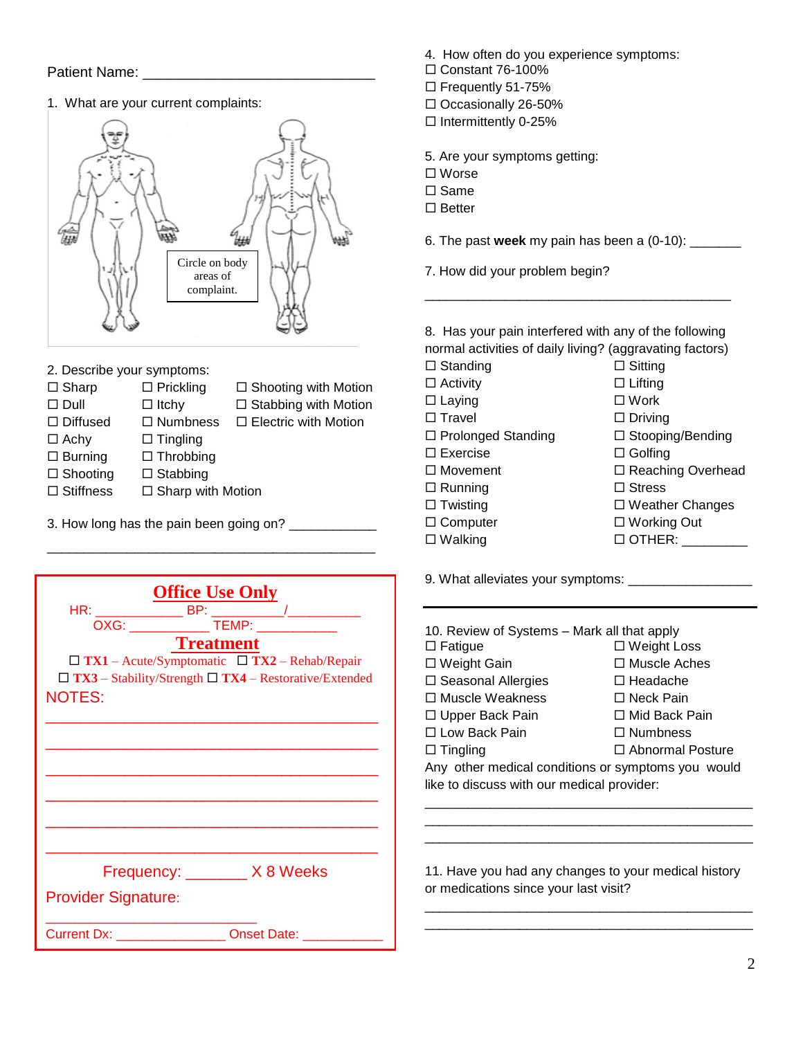#### Patient Name: \_

1. What are your current complaints:



- 2. Describe your symptoms:
- $\Box$  Sharp  $\Box$  Prickling  $\Box$  Shooting with Motion  $\Box$  Dull  $\Box$  Itchy  $\Box$  Stabbing with Motion  $\Box$  Diffused  $\Box$  Numbness  $\Box$  Electric with Motion  $\Box$  Achy  $\Box$  Tingling  $\square$  Burning  $\square$  Throbbing  $\square$  Shooting  $\square$  Stabbing  $\Box$  Stiffness  $\Box$  Sharp with Motion

\_\_\_\_\_\_\_\_\_\_\_\_\_\_\_\_\_\_\_\_\_\_\_\_\_\_\_\_\_\_\_\_\_\_\_\_\_\_\_\_\_\_\_\_\_

3. How long has the pain been going on? \_\_\_\_\_\_\_\_\_\_\_\_\_

| <b>Office Use Only</b><br><b>Treatment</b><br>$\Box$ TX1 – Acute/Symptomatic $\Box$ TX2 – Rehab/Repair<br>$\Box$ TX3 - Stability/Strength $\Box$ TX4 - Restorative/Extended |  |  |
|-----------------------------------------------------------------------------------------------------------------------------------------------------------------------------|--|--|
| <b>NOTES:</b>                                                                                                                                                               |  |  |
|                                                                                                                                                                             |  |  |
| Frequency: ________ X 8 Weeks                                                                                                                                               |  |  |
| <b>Provider Signature:</b>                                                                                                                                                  |  |  |
| Current Dx: ___________________ Onset Date: _____                                                                                                                           |  |  |

- 4. How often do you experience symptoms:
- $\Box$  Constant 76-100%
- □ Frequently 51-75%
- $\Box$  Occasionally 26-50%
- $\Box$  Intermittently 0-25%

5. Are your symptoms getting:

- Worse
- $\square$  Same
- $\square$  Better
- 6. The past **week** my pain has been a (0-10): \_\_\_\_\_\_\_
- 7. How did your problem begin?

8. Has your pain interfered with any of the following normal activities of daily living? (aggravating factors)  $\square$  Standing  $\square$  Sitting

\_\_\_\_\_\_\_\_\_\_\_\_\_\_\_\_\_\_\_\_\_\_\_\_\_\_\_\_\_\_\_\_\_\_\_\_\_\_\_\_\_\_

- $\Box$  Activity  $\Box$  Lifting
- $\square$  Laying  $\square$  Work
	-
- □ Prolonged Standing □ Stooping/Bending  $\square$  Exercise  $\square$  Golfing □ Movement □ Beaching Overhead
- $\Box$  Running  $\Box$  Stress
- -
	-
- $\square$  Travel  $\square$  Driving
	-
	-
	-
	-
	-
- □ Twisting □ Weather Changes
- $\square$  Computer  $\square$  Working Out
- Walking OTHER: \_\_\_\_\_\_\_\_\_

9. What alleviates your symptoms: \_\_\_\_\_\_\_\_\_\_\_\_\_\_\_\_\_

| 10. Review of Systems – Mark all that apply        |                         |  |
|----------------------------------------------------|-------------------------|--|
| $\square$ Fatigue                                  | $\Box$ Weight Loss      |  |
| □ Weight Gain                                      | $\Box$ Muscle Aches     |  |
| $\square$ Seasonal Allergies                       | $\Box$ Headache         |  |
| □ Muscle Weakness                                  | □ Neck Pain             |  |
| □ Upper Back Pain                                  | $\Box$ Mid Back Pain    |  |
| □ Low Back Pain                                    | $\Box$ Numbness         |  |
| $\Box$ Tingling                                    | $\Box$ Abnormal Posture |  |
| Any other medical conditions or symptoms you would |                         |  |
| like to discuss with our medical provider:         |                         |  |
|                                                    |                         |  |

11. Have you had any changes to your medical history or medications since your last visit?

\_\_\_\_\_\_\_\_\_\_\_\_\_\_\_\_\_\_\_\_\_\_\_\_\_\_\_\_\_\_\_\_\_\_\_\_\_\_\_\_\_\_\_\_\_ \_\_\_\_\_\_\_\_\_\_\_\_\_\_\_\_\_\_\_\_\_\_\_\_\_\_\_\_\_\_\_\_\_\_\_\_\_\_\_\_\_\_\_\_\_

\_\_\_\_\_\_\_\_\_\_\_\_\_\_\_\_\_\_\_\_\_\_\_\_\_\_\_\_\_\_\_\_\_\_\_\_\_\_\_\_\_\_\_\_\_ \_\_\_\_\_\_\_\_\_\_\_\_\_\_\_\_\_\_\_\_\_\_\_\_\_\_\_\_\_\_\_\_\_\_\_\_\_\_\_\_\_\_\_\_\_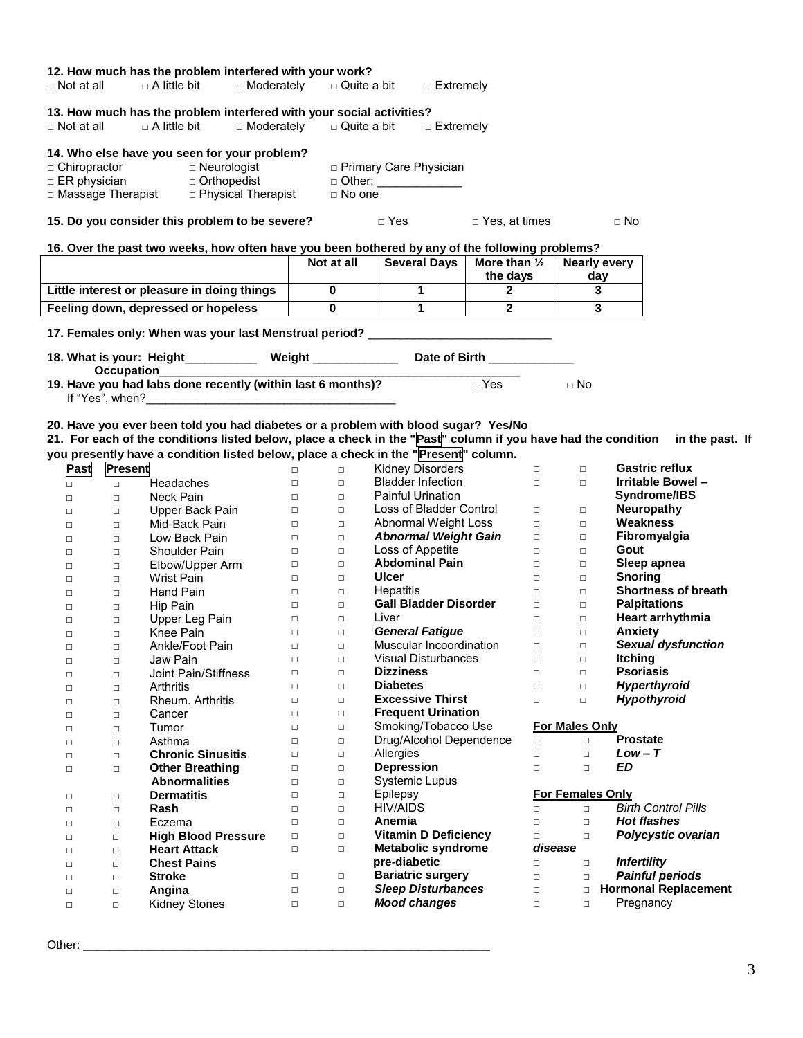| $\Box$ Not at all |                | 12. How much has the problem interfered with your work?<br>$\Box$ A little bit                  | □ Moderately | $\Box$ Quite a bit    | □ Extremely                  |                         |                         |                                                                                                                               |
|-------------------|----------------|-------------------------------------------------------------------------------------------------|--------------|-----------------------|------------------------------|-------------------------|-------------------------|-------------------------------------------------------------------------------------------------------------------------------|
|                   |                | 13. How much has the problem interfered with your social activities?                            |              |                       |                              |                         |                         |                                                                                                                               |
| $\Box$ Not at all |                | $\Box$ A little bit                                                                             | □ Moderately | $\square$ Quite a bit | □ Extremely                  |                         |                         |                                                                                                                               |
|                   |                | 14. Who else have you seen for your problem?                                                    |              |                       |                              |                         |                         |                                                                                                                               |
| □ Chiropractor    |                | $\Box$ Neurologist                                                                              |              |                       | □ Primary Care Physician     |                         |                         |                                                                                                                               |
|                   |                |                                                                                                 |              |                       | □ Other: ______________      |                         |                         |                                                                                                                               |
|                   |                |                                                                                                 |              | $\Box$ No one         |                              |                         |                         |                                                                                                                               |
|                   |                | 15. Do you consider this problem to be severe?                                                  |              |                       | $\Box$ Yes                   | $\square$ Yes, at times |                         | $\Box$ No                                                                                                                     |
|                   |                | 16. Over the past two weeks, how often have you been bothered by any of the following problems? |              |                       |                              |                         |                         |                                                                                                                               |
|                   |                |                                                                                                 |              | Not at all            | <b>Several Days</b>          | More than $\frac{1}{2}$ | <b>Nearly every</b>     |                                                                                                                               |
|                   |                |                                                                                                 |              |                       |                              | the days                | day                     |                                                                                                                               |
|                   |                | Little interest or pleasure in doing things                                                     |              | $\mathbf 0$           | $\mathbf{1}$                 | $\mathbf{2}$            | 3                       |                                                                                                                               |
|                   |                | Feeling down, depressed or hopeless                                                             |              | $\mathbf 0$           | $\mathbf{1}$                 | $2^{\circ}$             | 3                       |                                                                                                                               |
|                   |                |                                                                                                 |              |                       |                              |                         |                         |                                                                                                                               |
|                   |                | 17. Females only: When was your last Menstrual period? _________________________                |              |                       |                              |                         |                         |                                                                                                                               |
|                   |                | 18. What is your: Height____________ Weight _____________ Date of Birth _________               |              |                       |                              |                         |                         |                                                                                                                               |
|                   |                | <b>Occupation</b><br>19. Have you had labs done recently (within last 6 months)?                |              |                       |                              | □ Yes                   | $\Box$ No               |                                                                                                                               |
|                   |                |                                                                                                 |              |                       |                              |                         |                         |                                                                                                                               |
|                   |                | 20. Have you ever been told you had diabetes or a problem with blood sugar? Yes/No              |              |                       |                              |                         |                         |                                                                                                                               |
|                   |                |                                                                                                 |              |                       |                              |                         |                         | 21. For each of the conditions listed below, place a check in the "Past" column if you have had the condition in the past. If |
|                   |                | you presently have a condition listed below, place a check in the "Present" column.             |              |                       |                              |                         |                         |                                                                                                                               |
| Past              | <b>Present</b> |                                                                                                 | $\Box$       | $\Box$                | <b>Kidney Disorders</b>      | $\Box$                  | $\Box$                  | <b>Gastric reflux</b>                                                                                                         |
| $\Box$            | $\Box$         | Headaches                                                                                       | $\Box$       | $\Box$                | <b>Bladder Infection</b>     | $\Box$                  | $\Box$                  | Irritable Bowel-                                                                                                              |
| $\Box$            | $\Box$         | Neck Pain                                                                                       | $\Box$ .     | $\Box$                | <b>Painful Urination</b>     |                         |                         | Syndrome/IBS                                                                                                                  |
| $\Box$            | $\Box$         | Upper Back Pain                                                                                 | $\Box$       | $\Box$                | Loss of Bladder Control      | $\Box$                  | $\Box$                  | <b>Neuropathy</b>                                                                                                             |
| $\Box$            | $\Box$         | Mid-Back Pain                                                                                   | $\Box$       | $\Box$                | Abnormal Weight Loss         | $\Box$                  | $\Box$                  | Weakness                                                                                                                      |
| □                 | $\Box$         | Low Back Pain                                                                                   | $\Box$       | $\Box$                | <b>Abnormal Weight Gain</b>  | $\Box$                  | $\Box$                  | Fibromyalgia                                                                                                                  |
| $\Box$            | $\Box$         | <b>Shoulder Pain</b>                                                                            | $\Box$       | $\Box$                | Loss of Appetite             | $\Box$                  | $\Box$                  | Gout                                                                                                                          |
| $\Box$            | $\Box$         | Elbow/Upper Arm                                                                                 | $\Box$       | $\Box$                | <b>Abdominal Pain</b>        | $\Box$                  | $\Box$                  | Sleep apnea                                                                                                                   |
| $\Box$            | $\Box$         | Wrist Pain                                                                                      | $\Box$       | $\Box$                | <b>Ulcer</b>                 | $\Box$                  | $\Box$                  | <b>Snoring</b>                                                                                                                |
| $\Box$            | $\Box$         | Hand Pain                                                                                       | $\Box$       | $\Box$                | Hepatitis                    | $\Box$                  | $\Box$                  | <b>Shortness of breath</b>                                                                                                    |
| $\Box$            | $\Box$         | Hip Pain                                                                                        | $\Box$       | $\Box$                | <b>Gall Bladder Disorder</b> | $\Box$                  | $\Box$                  | <b>Palpitations</b>                                                                                                           |
| $\Box$            | $\Box$         | Upper Leg Pain                                                                                  | $\Box$       | $\Box$                | Liver                        | $\Box$                  | $\Box$                  | Heart arrhythmia                                                                                                              |
| $\Box$            | $\Box$         | Knee Pain                                                                                       | $\Box$       | $\Box$                | <b>General Fatigue</b>       | $\Box$                  | $\Box$                  | Anxiety                                                                                                                       |
| Ц                 | $\Box$         | Ankle/Foot Pain                                                                                 | $\Box$       | $\Box$                | Muscular Incoordination      | $\Box$                  | $\Box$                  | <b>Sexual dysfunction</b>                                                                                                     |
| $\Box$            | $\Box$         | Jaw Pain                                                                                        | $\Box$       | $\Box$                | <b>Visual Disturbances</b>   | $\Box$                  | $\Box$                  | <b>Itching</b>                                                                                                                |
| $\Box$            | $\Box$         | Joint Pain/Stiffness                                                                            | $\Box$       | $\Box$                | <b>Dizziness</b>             | $\Box$                  | $\Box$                  | <b>Psoriasis</b>                                                                                                              |
| $\Box$            | $\Box$         | Arthritis                                                                                       | $\Box$       | $\Box$                | <b>Diabetes</b>              | $\Box$                  | $\Box$                  | Hyperthyroid                                                                                                                  |
| $\Box$            | $\Box$         | Rheum. Arthritis                                                                                | $\Box$       | $\Box$                | <b>Excessive Thirst</b>      | $\Box$                  | $\Box$                  | <b>Hypothyroid</b>                                                                                                            |
| $\Box$            | $\Box$         | Cancer                                                                                          | $\Box$       | $\Box$                | <b>Frequent Urination</b>    |                         |                         |                                                                                                                               |
| $\Box$            | $\Box$         | Tumor                                                                                           | $\Box$       | $\Box$                | Smoking/Tobacco Use          |                         | <b>For Males Only</b>   |                                                                                                                               |
| $\Box$            | $\Box$         | Asthma                                                                                          | $\Box$       | $\Box$                | Drug/Alcohol Dependence      | $\Box$                  | $\Box$                  | <b>Prostate</b>                                                                                                               |
| $\Box$            | $\Box$         | <b>Chronic Sinusitis</b>                                                                        | $\Box$       | $\Box$                | Allergies                    | $\Box$                  | $\Box$                  | $Low - T$                                                                                                                     |
| $\Box$            | $\Box$         | <b>Other Breathing</b>                                                                          | $\Box$       | $\Box$                | <b>Depression</b>            | $\Box$                  | $\Box$                  | ΕD                                                                                                                            |
|                   |                | <b>Abnormalities</b>                                                                            | $\Box$       | $\Box$                | <b>Systemic Lupus</b>        |                         |                         |                                                                                                                               |
| $\Box$            | $\Box$         | <b>Dermatitis</b>                                                                               | $\Box$       | $\Box$                | Epilepsy                     |                         | <b>For Females Only</b> |                                                                                                                               |
| $\Box$            | $\Box$         | Rash                                                                                            | $\Box$       | $\Box$                | <b>HIV/AIDS</b>              | $\Box$                  | $\Box$                  | <b>Birth Control Pills</b>                                                                                                    |
| $\Box$            | $\Box$         | Eczema                                                                                          | $\Box$       | $\Box$                | Anemia                       | $\Box$                  | $\Box$                  | <b>Hot flashes</b>                                                                                                            |
| $\Box$            | $\Box$         | <b>High Blood Pressure</b>                                                                      | $\Box$       | $\Box$                | <b>Vitamin D Deficiency</b>  | $\Box$                  | $\Box$                  | Polycystic ovarian                                                                                                            |
| $\Box$            | $\Box$         | <b>Heart Attack</b>                                                                             | $\Box$       | $\Box$                | <b>Metabolic syndrome</b>    |                         | disease                 |                                                                                                                               |
| $\Box$            | $\Box$         | <b>Chest Pains</b>                                                                              |              |                       | pre-diabetic                 | $\Box$                  | $\Box$                  | <b>Infertility</b>                                                                                                            |
| $\Box$            | $\Box$         | <b>Stroke</b>                                                                                   | $\Box$       | $\Box$                | <b>Bariatric surgery</b>     | $\Box$                  | $\Box$                  | <b>Painful periods</b>                                                                                                        |
| $\Box$            | $\Box$         | Angina                                                                                          | $\Box$       | $\Box$                | <b>Sleep Disturbances</b>    | $\Box$                  | $\Box$                  | <b>Hormonal Replacement</b>                                                                                                   |
| $\Box$            | $\Box$         | <b>Kidney Stones</b>                                                                            | $\Box$       | $\Box$                | <b>Mood changes</b>          | $\Box$                  | $\Box$                  | Pregnancy                                                                                                                     |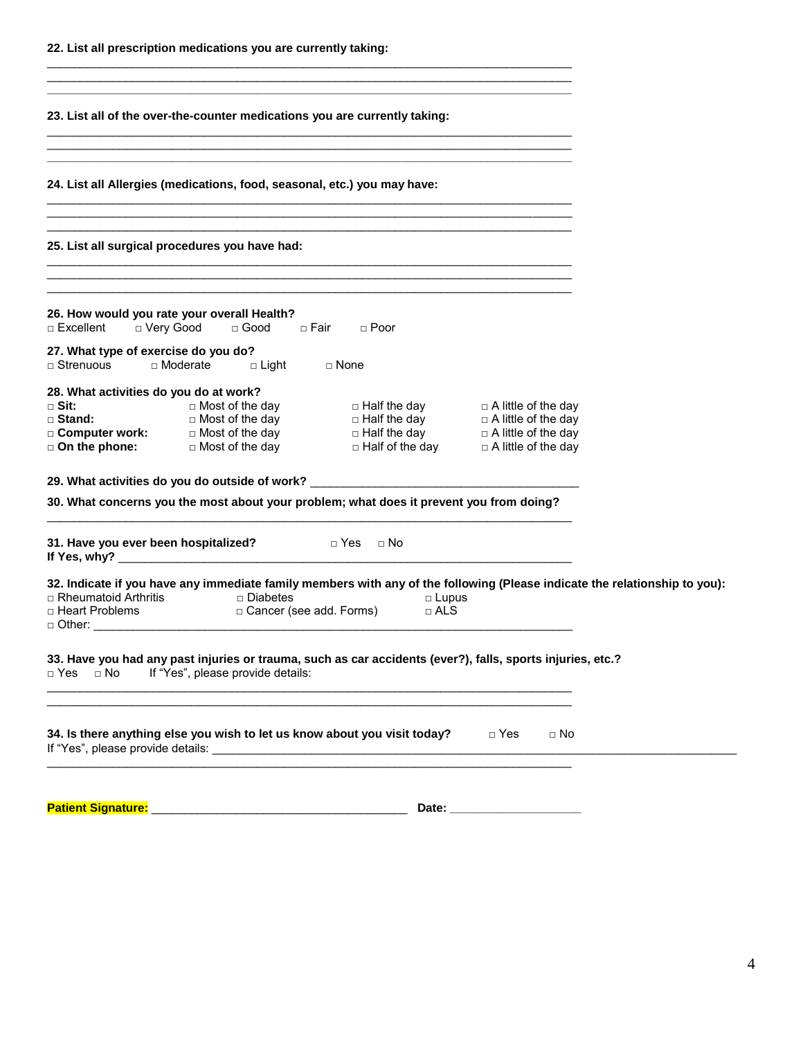\_\_\_\_\_\_\_\_\_\_\_\_\_\_\_\_\_\_\_\_\_\_\_\_\_\_\_\_\_\_\_\_\_\_\_\_\_\_\_\_\_\_\_\_\_\_\_\_\_\_\_\_\_\_\_\_\_\_\_\_\_\_\_\_\_\_\_\_\_\_\_\_\_\_\_\_\_\_\_\_

| 23. List all of the over-the-counter medications you are currently taking:                                                                                                                                                  |
|-----------------------------------------------------------------------------------------------------------------------------------------------------------------------------------------------------------------------------|
| ,我们也不能在这里,我们也不能不能不能不能不能不能不能不能不能不能不能。""我们,我们也不能不能不能不能不能不能不能不能不能不能不能不能不能不能。""我们,我们<br>24. List all Allergies (medications, food, seasonal, etc.) you may have:                                                                |
| 25. List all surgical procedures you have had:                                                                                                                                                                              |
| 26. How would you rate your overall Health?<br>□ Excellent<br>□ Very Good   □ Good   □ Fair<br>□ Poor                                                                                                                       |
| 27. What type of exercise do you do?<br>□ Moderate □ Light □ None<br>$\Box$ Strenuous                                                                                                                                       |
| 28. What activities do you do at work?<br>$\square$ Most of the day $\square$ Half the day $\square$ A little of the day<br>$\sqcap$ Sit:                                                                                   |
| 29. What activities do you do outside of work? _________________________________<br>30. What concerns you the most about your problem; what does it prevent you from doing?                                                 |
| 31. Have you ever been hospitalized? Dealth Divids The Divid Mo                                                                                                                                                             |
| 32. Indicate if you have any immediate family members with any of the following (Please indicate the relationship to you):<br>□ Rheumatoid Arthritis      □ Diabetes<br>□ Heart Problems        □ Cancer (s<br>$\Box$ Lupus |
| 33. Have you had any past injuries or trauma, such as car accidents (ever?), falls, sports injuries, etc.?<br>If "Yes", please provide details:<br>$\Box$ No<br>□ Yes                                                       |
| ,我们也不能在这里,我们也不能在这里的时候,我们也不能会不能会不能会不能会不能会不能会不能会。""我们的人们,我们也不能会不能会不能会不能会不能会不能会不能会不<br>34. Is there anything else you wish to let us know about you visit today? $\Box$ Yes<br>$\Box$ No                                       |
| Patient Signature: Management Control of Table 1999                                                                                                                                                                         |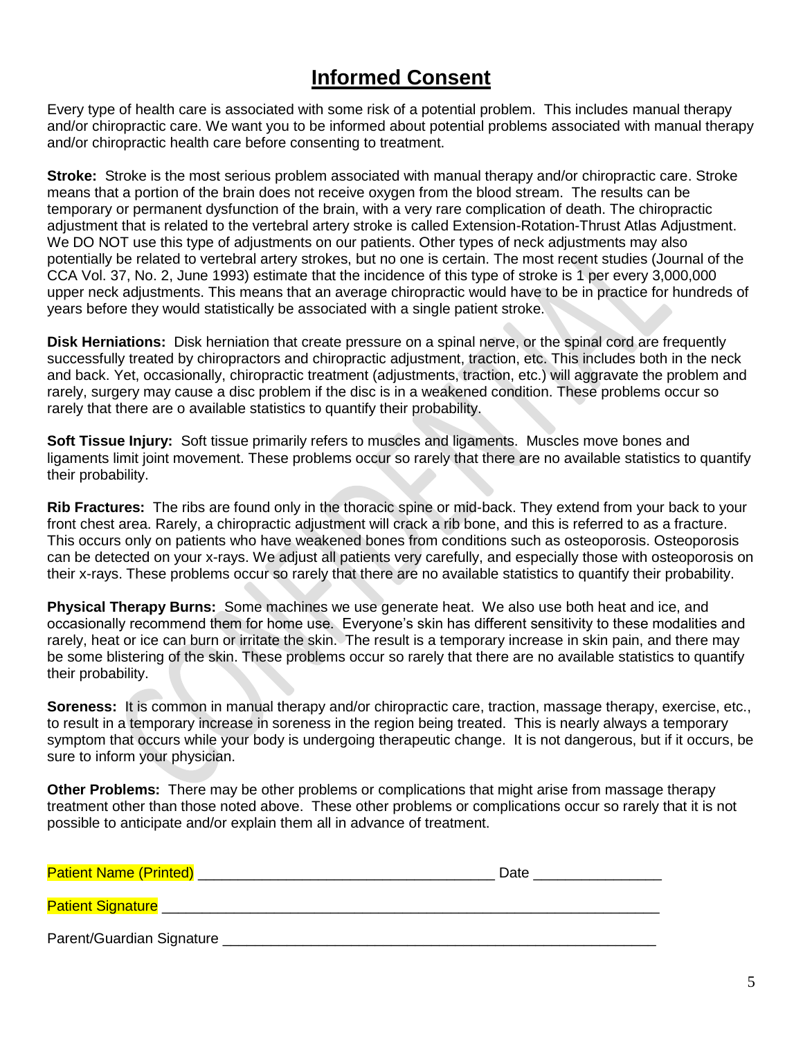# **Informed Consent**

Every type of health care is associated with some risk of a potential problem. This includes manual therapy and/or chiropractic care. We want you to be informed about potential problems associated with manual therapy and/or chiropractic health care before consenting to treatment.

**Stroke:** Stroke is the most serious problem associated with manual therapy and/or chiropractic care. Stroke means that a portion of the brain does not receive oxygen from the blood stream. The results can be temporary or permanent dysfunction of the brain, with a very rare complication of death. The chiropractic adjustment that is related to the vertebral artery stroke is called Extension-Rotation-Thrust Atlas Adjustment. We DO NOT use this type of adjustments on our patients. Other types of neck adjustments may also potentially be related to vertebral artery strokes, but no one is certain. The most recent studies (Journal of the CCA Vol. 37, No. 2, June 1993) estimate that the incidence of this type of stroke is 1 per every 3,000,000 upper neck adjustments. This means that an average chiropractic would have to be in practice for hundreds of years before they would statistically be associated with a single patient stroke.

**Disk Herniations:** Disk herniation that create pressure on a spinal nerve, or the spinal cord are frequently successfully treated by chiropractors and chiropractic adjustment, traction, etc. This includes both in the neck and back. Yet, occasionally, chiropractic treatment (adjustments, traction, etc.) will aggravate the problem and rarely, surgery may cause a disc problem if the disc is in a weakened condition. These problems occur so rarely that there are o available statistics to quantify their probability.

**Soft Tissue Injury:** Soft tissue primarily refers to muscles and ligaments. Muscles move bones and ligaments limit joint movement. These problems occur so rarely that there are no available statistics to quantify their probability.

**Rib Fractures:** The ribs are found only in the thoracic spine or mid-back. They extend from your back to your front chest area. Rarely, a chiropractic adjustment will crack a rib bone, and this is referred to as a fracture. This occurs only on patients who have weakened bones from conditions such as osteoporosis. Osteoporosis can be detected on your x-rays. We adjust all patients very carefully, and especially those with osteoporosis on their x-rays. These problems occur so rarely that there are no available statistics to quantify their probability.

**Physical Therapy Burns:** Some machines we use generate heat. We also use both heat and ice, and occasionally recommend them for home use. Everyone's skin has different sensitivity to these modalities and rarely, heat or ice can burn or irritate the skin. The result is a temporary increase in skin pain, and there may be some blistering of the skin. These problems occur so rarely that there are no available statistics to quantify their probability.

**Soreness:** It is common in manual therapy and/or chiropractic care, traction, massage therapy, exercise, etc., to result in a temporary increase in soreness in the region being treated. This is nearly always a temporary symptom that occurs while your body is undergoing therapeutic change. It is not dangerous, but if it occurs, be sure to inform your physician.

**Other Problems:** There may be other problems or complications that might arise from massage therapy treatment other than those noted above. These other problems or complications occur so rarely that it is not possible to anticipate and/or explain them all in advance of treatment.

| <b>Patient Name (Printed)</b> | Date |
|-------------------------------|------|
| <b>Patient Signature</b>      |      |
| Parent/Guardian Signature     |      |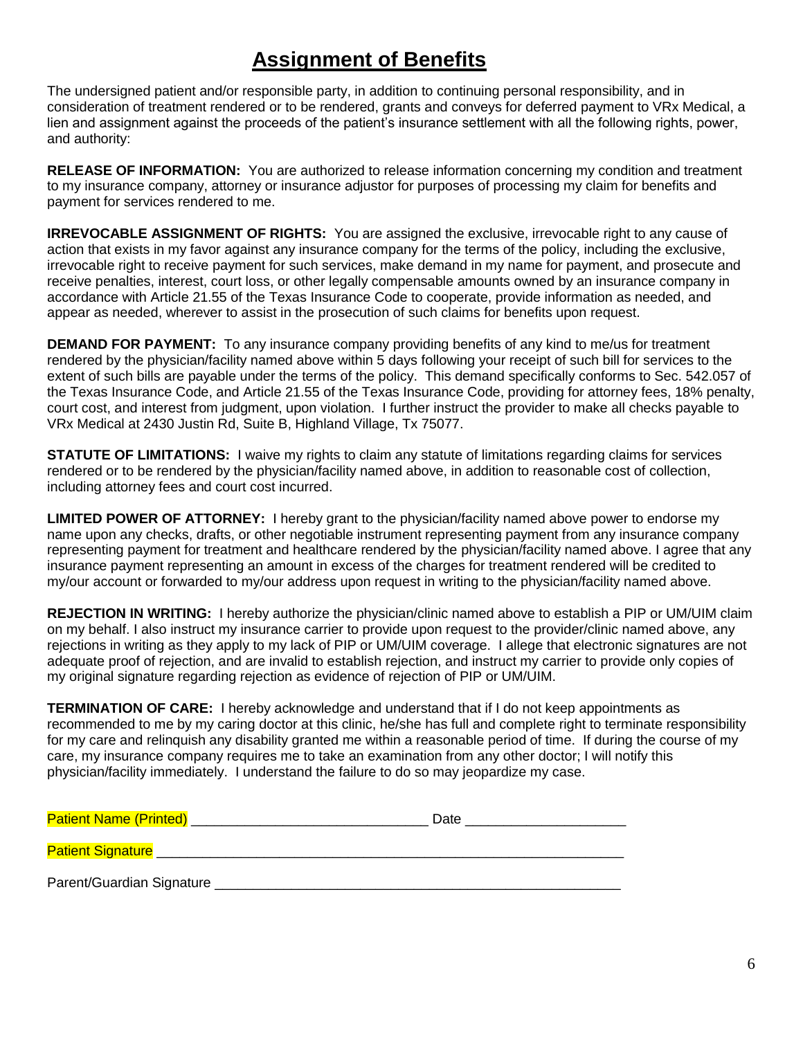# **Assignment of Benefits**

The undersigned patient and/or responsible party, in addition to continuing personal responsibility, and in consideration of treatment rendered or to be rendered, grants and conveys for deferred payment to VRx Medical, a lien and assignment against the proceeds of the patient's insurance settlement with all the following rights, power, and authority:

**RELEASE OF INFORMATION:** You are authorized to release information concerning my condition and treatment to my insurance company, attorney or insurance adjustor for purposes of processing my claim for benefits and payment for services rendered to me.

**IRREVOCABLE ASSIGNMENT OF RIGHTS:** You are assigned the exclusive, irrevocable right to any cause of action that exists in my favor against any insurance company for the terms of the policy, including the exclusive, irrevocable right to receive payment for such services, make demand in my name for payment, and prosecute and receive penalties, interest, court loss, or other legally compensable amounts owned by an insurance company in accordance with Article 21.55 of the Texas Insurance Code to cooperate, provide information as needed, and appear as needed, wherever to assist in the prosecution of such claims for benefits upon request.

**DEMAND FOR PAYMENT:** To any insurance company providing benefits of any kind to me/us for treatment rendered by the physician/facility named above within 5 days following your receipt of such bill for services to the extent of such bills are payable under the terms of the policy. This demand specifically conforms to Sec. 542.057 of the Texas Insurance Code, and Article 21.55 of the Texas Insurance Code, providing for attorney fees, 18% penalty, court cost, and interest from judgment, upon violation. I further instruct the provider to make all checks payable to VRx Medical at 2430 Justin Rd, Suite B, Highland Village, Tx 75077.

**STATUTE OF LIMITATIONS:** I waive my rights to claim any statute of limitations regarding claims for services rendered or to be rendered by the physician/facility named above, in addition to reasonable cost of collection, including attorney fees and court cost incurred.

**LIMITED POWER OF ATTORNEY:** I hereby grant to the physician/facility named above power to endorse my name upon any checks, drafts, or other negotiable instrument representing payment from any insurance company representing payment for treatment and healthcare rendered by the physician/facility named above. I agree that any insurance payment representing an amount in excess of the charges for treatment rendered will be credited to my/our account or forwarded to my/our address upon request in writing to the physician/facility named above.

**REJECTION IN WRITING:** I hereby authorize the physician/clinic named above to establish a PIP or UM/UIM claim on my behalf. I also instruct my insurance carrier to provide upon request to the provider/clinic named above, any rejections in writing as they apply to my lack of PIP or UM/UIM coverage. I allege that electronic signatures are not adequate proof of rejection, and are invalid to establish rejection, and instruct my carrier to provide only copies of my original signature regarding rejection as evidence of rejection of PIP or UM/UIM.

**TERMINATION OF CARE:** I hereby acknowledge and understand that if I do not keep appointments as recommended to me by my caring doctor at this clinic, he/she has full and complete right to terminate responsibility for my care and relinquish any disability granted me within a reasonable period of time. If during the course of my care, my insurance company requires me to take an examination from any other doctor; I will notify this physician/facility immediately. I understand the failure to do so may jeopardize my case.

| <b>Patient Name (Printed)</b> | Date |
|-------------------------------|------|
|                               |      |
| <b>Patient Signature</b>      |      |

Parent/Guardian Signature \_\_\_\_\_\_\_\_\_\_\_\_\_\_\_\_\_\_\_\_\_\_\_\_\_\_\_\_\_\_\_\_\_\_\_\_\_\_\_\_\_\_\_\_\_\_\_\_\_\_\_\_\_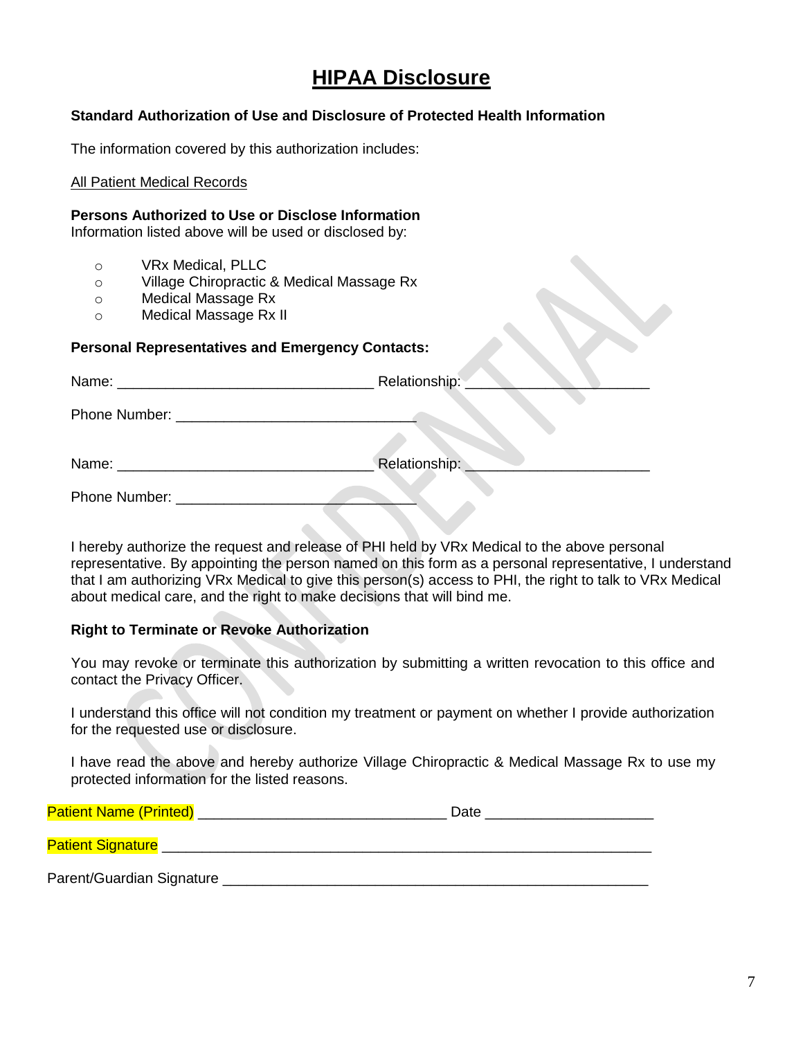## **HIPAA Disclosure**

#### **Standard Authorization of Use and Disclosure of Protected Health Information**

The information covered by this authorization includes:

#### All Patient Medical Records

#### **Persons Authorized to Use or Disclose Information**

Information listed above will be used or disclosed by:

- o VRx Medical, PLLC
- o Village Chiropractic & Medical Massage Rx
- o Medical Massage Rx
- o Medical Massage Rx II

#### **Personal Representatives and Emergency Contacts:**

|                                                                                                                      | Relationship: |
|----------------------------------------------------------------------------------------------------------------------|---------------|
|                                                                                                                      |               |
| Name:                                                                                                                | Relationship: |
| <u> 1980 - Jan Stein Stein Stein Stein Stein Stein Stein Stein Stein Stein Stein Stein Stein Stein Stein Stein S</u> |               |
| Phone Number: _________________                                                                                      |               |

I hereby authorize the request and release of PHI held by VRx Medical to the above personal representative. By appointing the person named on this form as a personal representative, I understand that I am authorizing VRx Medical to give this person(s) access to PHI, the right to talk to VRx Medical about medical care, and the right to make decisions that will bind me.

#### **Right to Terminate or Revoke Authorization**

 You may revoke or terminate this authorization by submitting a written revocation to this office and contact the Privacy Officer.

I understand this office will not condition my treatment or payment on whether I provide authorization for the requested use or disclosure.

I have read the above and hereby authorize Village Chiropractic & Medical Massage Rx to use my protected information for the listed reasons.

| <b>Patient Name (Printed)</b> | Date |
|-------------------------------|------|
| <b>Patient Signature</b>      |      |
| Parent/Guardian Signature     |      |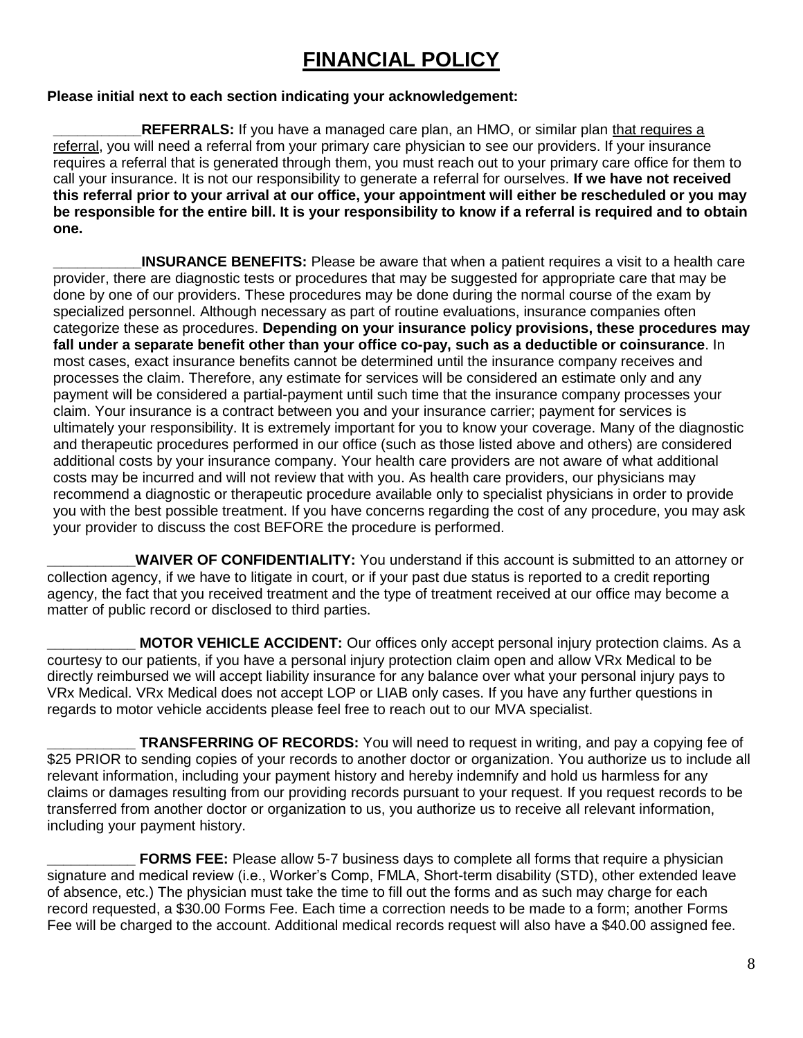# **FINANCIAL POLICY**

#### **Please initial next to each section indicating your acknowledgement:**

**REFERRALS:** If you have a managed care plan, an HMO, or similar plan that requires a referral, you will need a referral from your primary care physician to see our providers. If your insurance requires a referral that is generated through them, you must reach out to your primary care office for them to call your insurance. It is not our responsibility to generate a referral for ourselves. **If we have not received this referral prior to your arrival at our office, your appointment will either be rescheduled or you may be responsible for the entire bill. It is your responsibility to know if a referral is required and to obtain one.**

**INSURANCE BENEFITS:** Please be aware that when a patient requires a visit to a health care provider, there are diagnostic tests or procedures that may be suggested for appropriate care that may be done by one of our providers. These procedures may be done during the normal course of the exam by specialized personnel. Although necessary as part of routine evaluations, insurance companies often categorize these as procedures. **Depending on your insurance policy provisions, these procedures may fall under a separate benefit other than your office co-pay, such as a deductible or coinsurance**. In most cases, exact insurance benefits cannot be determined until the insurance company receives and processes the claim. Therefore, any estimate for services will be considered an estimate only and any payment will be considered a partial-payment until such time that the insurance company processes your claim. Your insurance is a contract between you and your insurance carrier; payment for services is ultimately your responsibility. It is extremely important for you to know your coverage. Many of the diagnostic and therapeutic procedures performed in our office (such as those listed above and others) are considered additional costs by your insurance company. Your health care providers are not aware of what additional costs may be incurred and will not review that with you. As health care providers, our physicians may recommend a diagnostic or therapeutic procedure available only to specialist physicians in order to provide you with the best possible treatment. If you have concerns regarding the cost of any procedure, you may ask your provider to discuss the cost BEFORE the procedure is performed.

WAIVER OF CONFIDENTIALITY: You understand if this account is submitted to an attorney or collection agency, if we have to litigate in court, or if your past due status is reported to a credit reporting agency, the fact that you received treatment and the type of treatment received at our office may become a matter of public record or disclosed to third parties.

**MOTOR VEHICLE ACCIDENT:** Our offices only accept personal injury protection claims. As a courtesy to our patients, if you have a personal injury protection claim open and allow VRx Medical to be directly reimbursed we will accept liability insurance for any balance over what your personal injury pays to VRx Medical. VRx Medical does not accept LOP or LIAB only cases. If you have any further questions in regards to motor vehicle accidents please feel free to reach out to our MVA specialist.

**TRANSFERRING OF RECORDS:** You will need to request in writing, and pay a copying fee of \$25 PRIOR to sending copies of your records to another doctor or organization. You authorize us to include all relevant information, including your payment history and hereby indemnify and hold us harmless for any claims or damages resulting from our providing records pursuant to your request. If you request records to be transferred from another doctor or organization to us, you authorize us to receive all relevant information, including your payment history.

**FORMS FEE:** Please allow 5-7 business days to complete all forms that require a physician signature and medical review (i.e., Worker's Comp, FMLA, Short-term disability (STD), other extended leave of absence, etc.) The physician must take the time to fill out the forms and as such may charge for each record requested, a \$30.00 Forms Fee. Each time a correction needs to be made to a form; another Forms Fee will be charged to the account. Additional medical records request will also have a \$40.00 assigned fee.